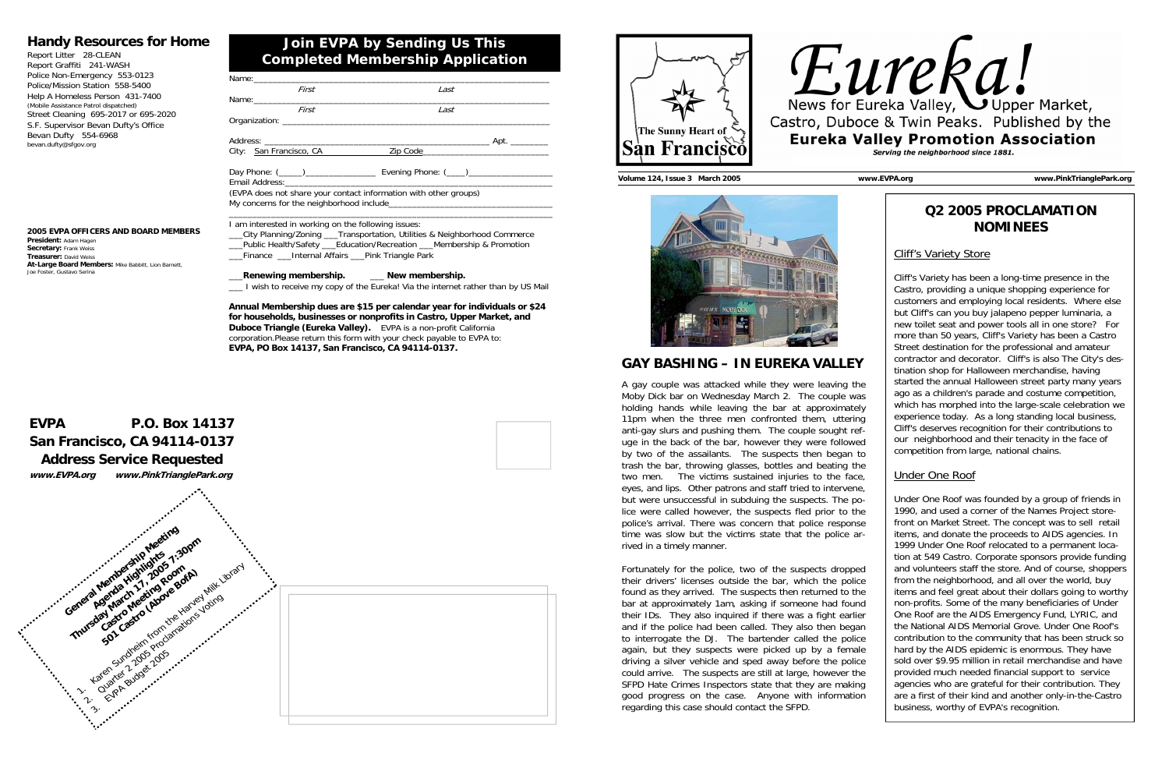# **Join EVPA by Sending Us This Completed Membership Application**

## **Handy Resources for Home**





| Report Litter 28-CLEAN                |
|---------------------------------------|
| Report Graffiti 241-WASH              |
| Police Non-Emergency 553-0123         |
| Police/Mission Station 558-5400       |
| Help A Homeless Person 431-7400       |
| (Mobile Assistance Patrol dispatched) |
| Street Cleaning 695-2017 or 695-2020  |
| S.F. Supervisor Bevan Dufty's Office  |
| Bevan Dufty 554-6968                  |
| bevan.dufty@sfgov.org                 |
|                                       |

**2005 EVPA OFFICERS AND BOARD MEMBERS President:** Adam Hagen **Secretary:** Frank Weiss **Treasurer:** David Weiss**At-Large Board Members:** Mike Babbitt, Lion Barnett,

Joe Foster, Gustavo Serina

Finance Linternal Affairs Pink Triangle Park \_\_\_**Renewing membership.** \_\_\_ **New membership.** 

| Name:_____________________________                  |                                                                                                                                                         |
|-----------------------------------------------------|---------------------------------------------------------------------------------------------------------------------------------------------------------|
| First                                               | Last                                                                                                                                                    |
|                                                     |                                                                                                                                                         |
| First                                               | Last                                                                                                                                                    |
|                                                     |                                                                                                                                                         |
|                                                     |                                                                                                                                                         |
|                                                     | City: San Francisco, CA 2000 21p Code                                                                                                                   |
| Email Address:_______________________________       |                                                                                                                                                         |
|                                                     | (EVPA does not share your contact information with other groups)                                                                                        |
| I am interested in working on the following issues: | __City Planning/Zoning ___Transportation, Utilities & Neighborhood Commerce<br>__Public Health/Safety ___Education/Recreation ___Membership & Promotion |

\_\_\_ I wish to receive my copy of the Eureka! Via the internet rather than by US Mail

**Annual Membership dues are \$15 per calendar year for individuals or \$24 for households, businesses or nonprofits in Castro, Upper Market, and Duboce Triangle (Eureka Valley).** EVPA is a non-profit California corporation.Please return this form with your check payable to EVPA to: **EVPA, PO Box 14137, San Francisco, CA 94114-0137.**

**GAY BASHING – IN EUREKA VALLEY**A gay couple was attacked while they were leaving the Moby Dick bar on Wednesday March 2. The couple was holding hands while leaving the bar at approximately 11pm when the three men confronted them, uttering anti-gay slurs and pushing them. The couple sought refuge in the back of the bar, however they were followed by two of the assailants. The suspects then began to trash the bar, throwing glasses, bottles and beating the two men. The victims sustained injuries to the face, eyes, and lips. Other patrons and staff tried to intervene, but were unsuccessful in subduing the suspects. The police were called however, the suspects fled prior to the police's arrival. There was concern that police response time was slow but the victims state that the police arrived in a timely manner.

Fortunately for the police, two of the suspects dropped their drivers' licenses outside the bar, which the police found as they arrived. The suspects then returned to the bar at approximately 1am, asking if someone had found their IDs. They also inquired if there was a fight earlier and if the police had been called. They also then began to interrogate the DJ. The bartender called the police again, but they suspects were picked up by a female driving a silver vehicle and sped away before the police could arrive. The suspects are still at large, however the SFPD Hate Crimes Inspectors state that they are making good progress on the case. Anyone with information regarding this case should contact the SFPD.



**Volume 124, Issue 3 March 2005 www.EVPA.org www.PinkTrianglePark.org** 



# **Q2 2005 PROCLAMATION NOMINEES**

### Cliff's Variety Store

Cliff's Variety has been a long-time presence in the Castro, providing a unique shopping experience for customers and employing local residents. Where else but Cliff's can you buy jalapeno pepper luminaria, a new toilet seat and power tools all in one store? For more than 50 years, Cliff's Variety has been a Castro Street destination for the professional and amateur contractor and decorator. Cliff's is also The City's destination shop for Halloween merchandise, having started the annual Halloween street party many years ago as a children's parade and costume competition, which has morphed into the large-scale celebration we experience today. As a long standing local business, Cliff's deserves recognition for their contributions to our neighborhood and their tenacity in the face of competition from large, national chains.

#### Under One Roof

Under One Roof was founded by a group of friends in 1990, and used a corner of the Names Project storefront on Market Street. The concept was to sell retail items, and donate the proceeds to AIDS agencies. In 1999 Under One Roof relocated to a permanent location at 549 Castro. Corporate sponsors provide funding and volunteers staff the store. And of course, shoppers from the neighborhood, and all over the world, buy items and feel great about their dollars going to worthy non-profits. Some of the many beneficiaries of Under One Roof are the AIDS Emergency Fund, LYRIC, and the National AIDS Memorial Grove. Under One Roof's contribution to the community that has been struck so hard by the AIDS epidemic is enormous. They have sold over \$9.95 million in retail merchandise and have provided much needed financial support to service agencies who are grateful for their contribution. They are a first of their kind and another only-in-the-Castro business, worthy of EVPA's recognition.